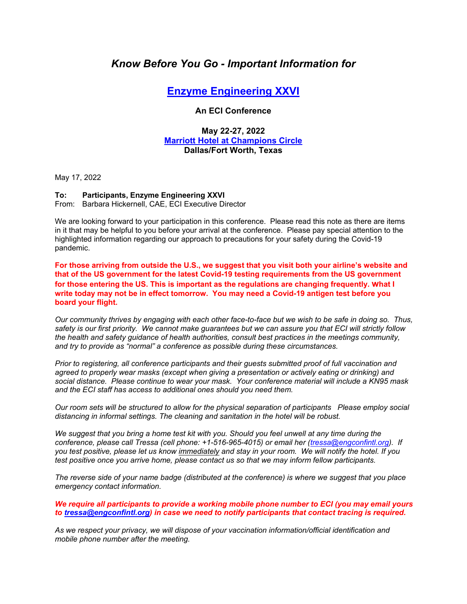# *Know Before You Go - Important Information for*

## **Enzyme Engineering XXVI**

#### **An ECI Conference**

### **May 22-27, 2022 Marriott Hotel at Champions Circle Dallas/Fort Worth, Texas**

May 17, 2022

#### **To: Participants, Enzyme Engineering XXVI**

From: Barbara Hickernell, CAE, ECI Executive Director

We are looking forward to your participation in this conference. Please read this note as there are items in it that may be helpful to you before your arrival at the conference. Please pay special attention to the highlighted information regarding our approach to precautions for your safety during the Covid-19 pandemic.

**For those arriving from outside the U.S., we suggest that you visit both your airline's website and that of the US government for the latest Covid-19 testing requirements from the US government for those entering the US. This is important as the regulations are changing frequently. what I write today may not be in effect tomorrow. You may need a Covid-19 antigen test before you board your flight.** 

*Our community thrives by engaging with each other face-to-face but we wish to be safe in doing so. Thus, safety is our first priority. We cannot make guarantees but we can assure you that ECI will strictly follow the health and safety guidance of health authorities, consult best practices in the meetings community, and try to provide as "normal" a conference as possible during these circumstances.* 

*Prior to registering, all conference participants and their guests submitted proof of full vaccination and agreed to properly wear masks (except when giving a presentation or actively eating or drinking) and social distance. Please continue to wear your mask. Your conference material will include a KN95 mask and the ECI staff has access to additional ones should you need them.* 

*Our room sets will be structured to allow for the physical separation of participants Please employ social distancing in informal settings. The cleaning and sanitation in the hotel will be robust.* 

*We suggest that you bring a home test kit with you. Should you feel unwell at any time during the conference, please call Tressa (cell phone: +1-516-965-4015) or email her (tressa@engconfintl.org). If you test positive, please let us know immediately and stay in your room. We will notify the hotel. If you test positive once you arrive home, please contact us so that we may inform fellow participants.* 

*The reverse side of your name badge (distributed at the conference) is where we suggest that you place emergency contact information.* 

*We require all participants to provide a working mobile phone number to ECI (you may email yours to tressa@engconfintl.org) in case we need to notify participants that contact tracing is required.* 

*As we respect your privacy, we will dispose of your vaccination information/official identification and mobile phone number after the meeting.*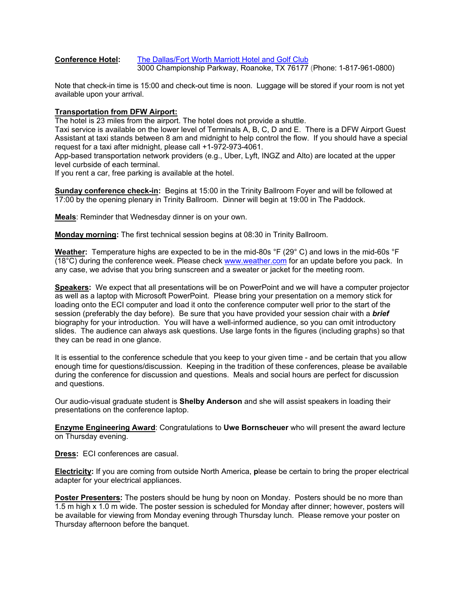#### **Conference Hotel:** The Dallas/Fort Worth Marriott Hotel and Golf Club 3000 Championship Parkway, Roanoke, TX 76177 (Phone: 1-817-961-0800)

Note that check-in time is 15:00 and check-out time is noon. Luggage will be stored if your room is not yet available upon your arrival.

#### **Transportation from DFW Airport:**

The hotel is 23 miles from the airport. The hotel does not provide a shuttle.

Taxi service is available on the lower level of Terminals A, B, C, D and E. There is a DFW Airport Guest Assistant at taxi stands between 8 am and midnight to help control the flow. If you should have a special request for a taxi after midnight, please call +1-972-973-4061.

App-based transportation network providers (e.g., Uber, Lyft, INGZ and Alto) are located at the upper level curbside of each terminal.

If you rent a car, free parking is available at the hotel.

**Sunday conference check-in:** Begins at 15:00 in the Trinity Ballroom Foyer and will be followed at 17:00 by the opening plenary in Trinity Ballroom. Dinner will begin at 19:00 in The Paddock.

**Meals**: Reminder that Wednesday dinner is on your own.

**Monday morning:** The first technical session begins at 08:30 in Trinity Ballroom.

**Weather:** Temperature highs are expected to be in the mid-80s °F (29° C) and lows in the mid-60s °F (18°C) during the conference week. Please check www.weather.com for an update before you pack. In any case, we advise that you bring sunscreen and a sweater or jacket for the meeting room.

**Speakers:** We expect that all presentations will be on PowerPoint and we will have a computer projector as well as a laptop with Microsoft PowerPoint. Please bring your presentation on a memory stick for loading onto the ECI computer and load it onto the conference computer well prior to the start of the session (preferably the day before). Be sure that you have provided your session chair with a *brief* biography for your introduction. You will have a well-informed audience, so you can omit introductory slides. The audience can always ask questions. Use large fonts in the figures (including graphs) so that they can be read in one glance.

It is essential to the conference schedule that you keep to your given time - and be certain that you allow enough time for questions/discussion. Keeping in the tradition of these conferences, please be available during the conference for discussion and questions. Meals and social hours are perfect for discussion and questions.

Our audio-visual graduate student is **Shelby Anderson** and she will assist speakers in loading their presentations on the conference laptop.

**Enzyme Engineering Award**: Congratulations to **Uwe Bornscheuer** who will present the award lecture on Thursday evening.

**Dress:** ECI conferences are casual.

**Electricity:** If you are coming from outside North America, **p**lease be certain to bring the proper electrical adapter for your electrical appliances.

**Poster Presenters:** The posters should be hung by noon on Monday. Posters should be no more than 1.5 m high x 1.0 m wide. The poster session is scheduled for Monday after dinner; however, posters will be available for viewing from Monday evening through Thursday lunch. Please remove your poster on Thursday afternoon before the banquet.